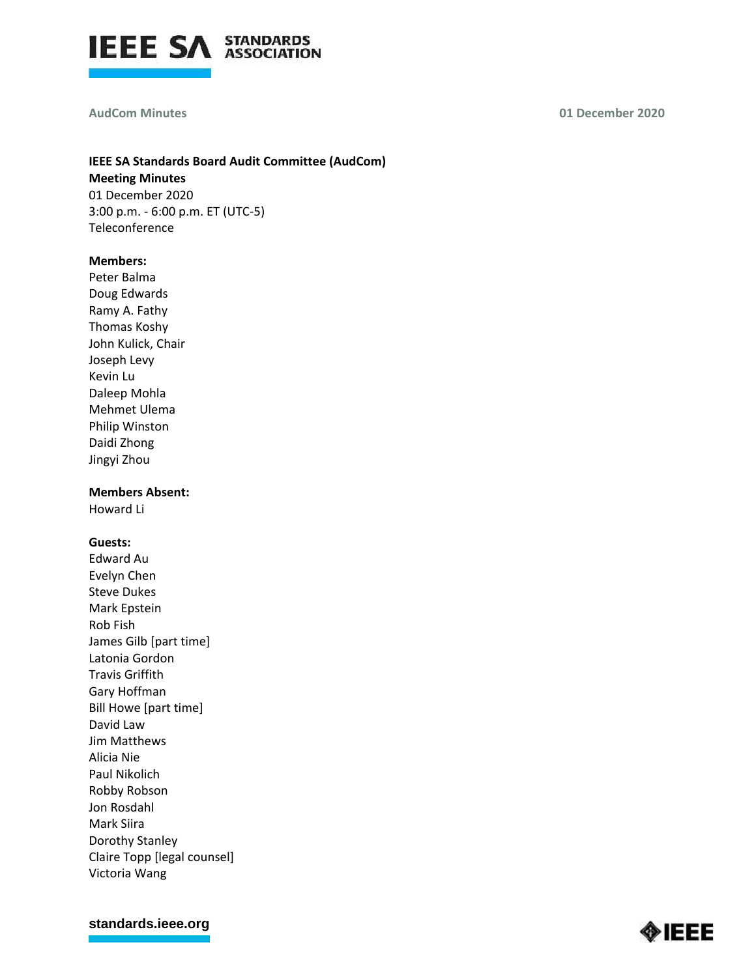

#### **AudCom Minutes**

**01 December 2020**

# **IEEE SA Standards Board Audit Committee (AudCom) Meeting Minutes** 01 December 2020

3:00 p.m. - 6:00 p.m. ET (UTC-5) Teleconference

## **Members:**

Peter Balma Doug Edwards Ramy A. Fathy Thomas Koshy John Kulick, Chair Joseph Levy Kevin Lu Daleep Mohla Mehmet Ulema Philip Winston Daidi Zhong Jingyi Zhou

## **Members Absent:**

Howard Li

# **Guests:**

Edward Au Evelyn Chen Steve Dukes Mark Epstein Rob Fish James Gilb [part time] Latonia Gordon Travis Griffith Gary Hoffman Bill Howe [part time] David Law Jim Matthews Alicia Nie Paul Nikolich Robby Robson Jon Rosdahl Mark Siira Dorothy Stanley Claire Topp [legal counsel] Victoria Wang

**[standards.ieee.org](http://standards.ieee.org/)**

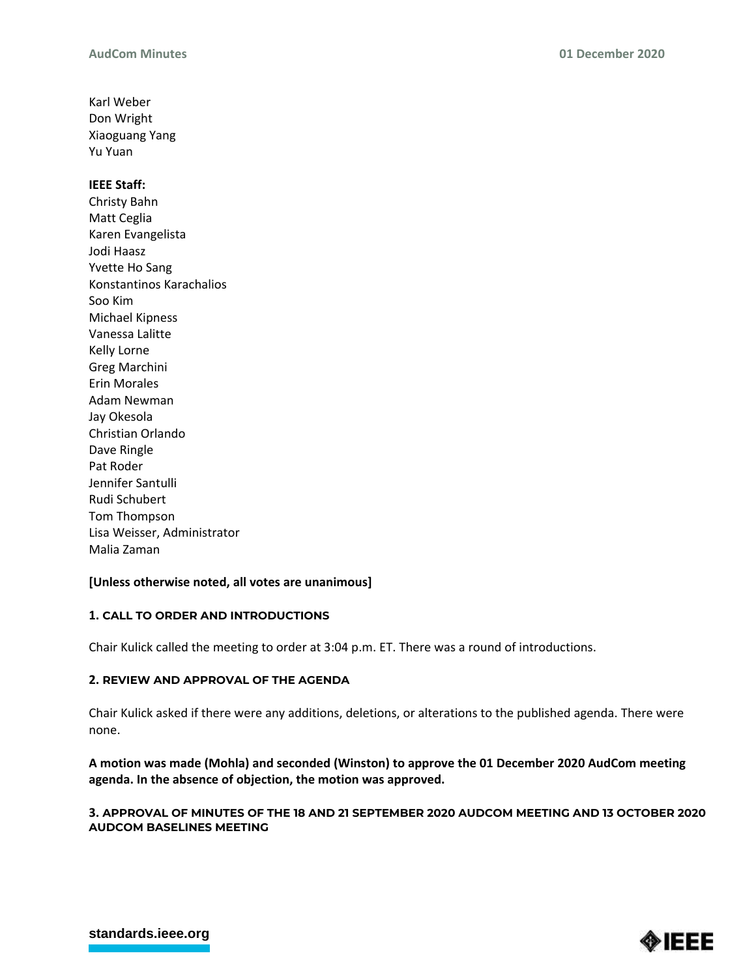Karl Weber Don Wright Xiaoguang Yang Yu Yuan

#### **IEEE Staff:**

Christy Bahn Matt Ceglia Karen Evangelista Jodi Haasz Yvette Ho Sang Konstantinos Karachalios Soo Kim Michael Kipness Vanessa Lalitte Kelly Lorne Greg Marchini Erin Morales Adam Newman Jay Okesola Christian Orlando Dave Ringle Pat Roder Jennifer Santulli Rudi Schubert Tom Thompson Lisa Weisser, Administrator Malia Zaman

## **[Unless otherwise noted, all votes are unanimous]**

## **1. CALL TO ORDER AND INTRODUCTIONS**

Chair Kulick called the meeting to order at 3:04 p.m. ET. There was a round of introductions.

## **2. REVIEW AND APPROVAL OF THE AGENDA**

Chair Kulick asked if there were any additions, deletions, or alterations to the published agenda. There were none.

**A motion was made (Mohla) and seconded (Winston) to approve the 01 December 2020 AudCom meeting agenda. In the absence of objection, the motion was approved.**

## **3. APPROVAL OF MINUTES OF THE 18 AND 21 SEPTEMBER 2020 AUDCOM MEETING AND 13 OCTOBER 2020 AUDCOM BASELINES MEETING**

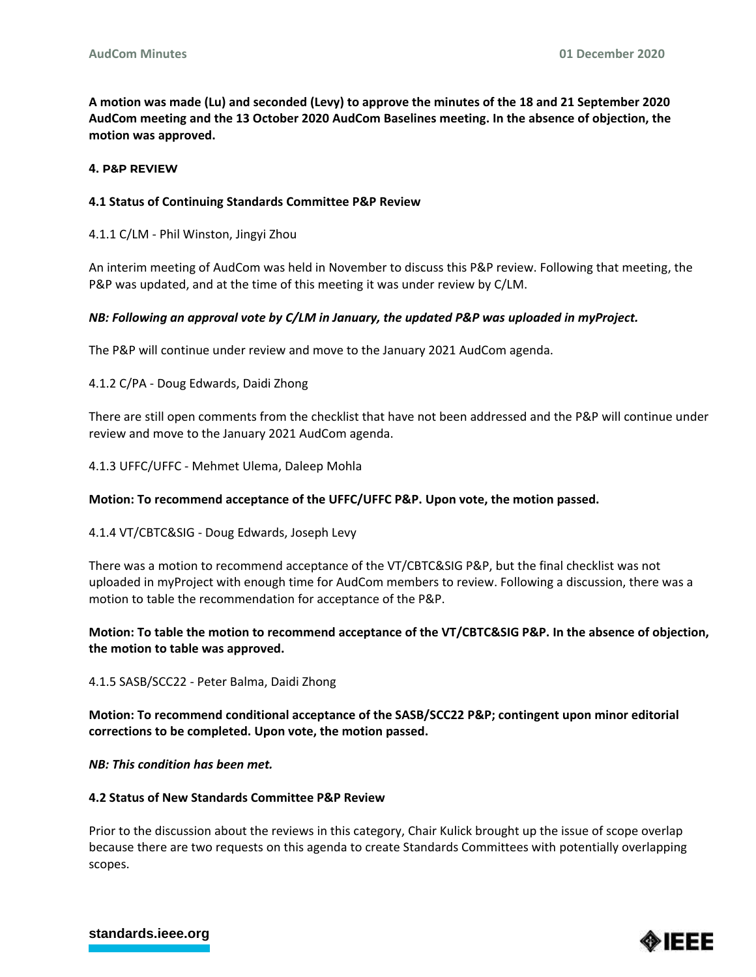**A motion was made (Lu) and seconded (Levy) to approve the minutes of the 18 and 21 September 2020 AudCom meeting and the 13 October 2020 AudCom Baselines meeting. In the absence of objection, the motion was approved.**

#### **4. P&P REVIEW**

#### **4.1 Status of Continuing Standards Committee P&P Review**

4.1.1 C/LM - Phil Winston, Jingyi Zhou

An interim meeting of AudCom was held in November to discuss this P&P review. Following that meeting, the P&P was updated, and at the time of this meeting it was under review by C/LM.

#### *NB: Following an approval vote by C/LM in January, the updated P&P was uploaded in myProject.*

The P&P will continue under review and move to the January 2021 AudCom agenda.

4.1.2 C/PA - Doug Edwards, Daidi Zhong

There are still open comments from the checklist that have not been addressed and the P&P will continue under review and move to the January 2021 AudCom agenda.

4.1.3 UFFC/UFFC - Mehmet Ulema, Daleep Mohla

#### **Motion: To recommend acceptance of the UFFC/UFFC P&P. Upon vote, the motion passed.**

4.1.4 VT/CBTC&SIG - Doug Edwards, Joseph Levy

There was a motion to recommend acceptance of the VT/CBTC&SIG P&P, but the final checklist was not uploaded in myProject with enough time for AudCom members to review. Following a discussion, there was a motion to table the recommendation for acceptance of the P&P.

# **Motion: To table the motion to recommend acceptance of the VT/CBTC&SIG P&P. In the absence of objection, the motion to table was approved.**

4.1.5 SASB/SCC22 - Peter Balma, Daidi Zhong

**Motion: To recommend conditional acceptance of the SASB/SCC22 P&P; contingent upon minor editorial corrections to be completed. Upon vote, the motion passed.**

*NB: This condition has been met.* 

#### **4.2 Status of New Standards Committee P&P Review**

Prior to the discussion about the reviews in this category, Chair Kulick brought up the issue of scope overlap because there are two requests on this agenda to create Standards Committees with potentially overlapping scopes.



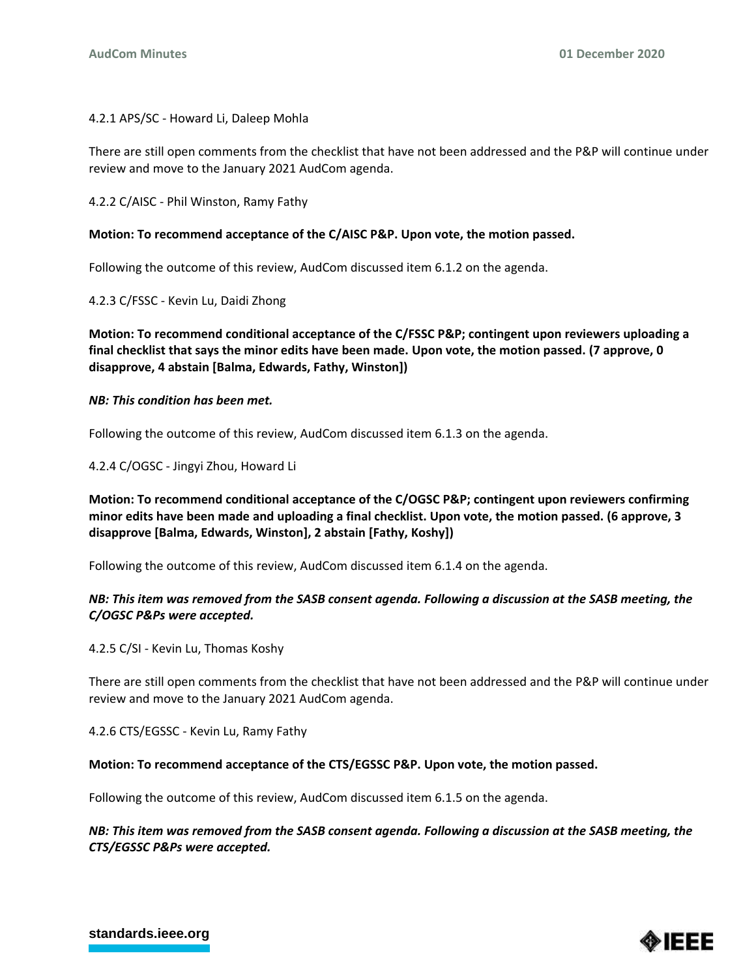# 4.2.1 APS/SC - Howard Li, Daleep Mohla

There are still open comments from the checklist that have not been addressed and the P&P will continue under review and move to the January 2021 AudCom agenda.

4.2.2 C/AISC - Phil Winston, Ramy Fathy

# **Motion: To recommend acceptance of the C/AISC P&P. Upon vote, the motion passed.**

Following the outcome of this review, AudCom discussed item 6.1.2 on the agenda.

4.2.3 C/FSSC - Kevin Lu, Daidi Zhong

**Motion: To recommend conditional acceptance of the C/FSSC P&P; contingent upon reviewers uploading a final checklist that says the minor edits have been made. Upon vote, the motion passed. (7 approve, 0 disapprove, 4 abstain [Balma, Edwards, Fathy, Winston])**

# *NB: This condition has been met.*

Following the outcome of this review, AudCom discussed item 6.1.3 on the agenda.

4.2.4 C/OGSC - Jingyi Zhou, Howard Li

**Motion: To recommend conditional acceptance of the C/OGSC P&P; contingent upon reviewers confirming minor edits have been made and uploading a final checklist. Upon vote, the motion passed. (6 approve, 3 disapprove [Balma, Edwards, Winston], 2 abstain [Fathy, Koshy])**

Following the outcome of this review, AudCom discussed item 6.1.4 on the agenda.

# *NB: This item was removed from the SASB consent agenda. Following a discussion at the SASB meeting, the C/OGSC P&Ps were accepted.*

4.2.5 C/SI - Kevin Lu, Thomas Koshy

There are still open comments from the checklist that have not been addressed and the P&P will continue under review and move to the January 2021 AudCom agenda.

4.2.6 CTS/EGSSC - Kevin Lu, Ramy Fathy

## **Motion: To recommend acceptance of the CTS/EGSSC P&P. Upon vote, the motion passed.**

Following the outcome of this review, AudCom discussed item 6.1.5 on the agenda.

*NB: This item was removed from the SASB consent agenda. Following a discussion at the SASB meeting, the CTS/EGSSC P&Ps were accepted.* 



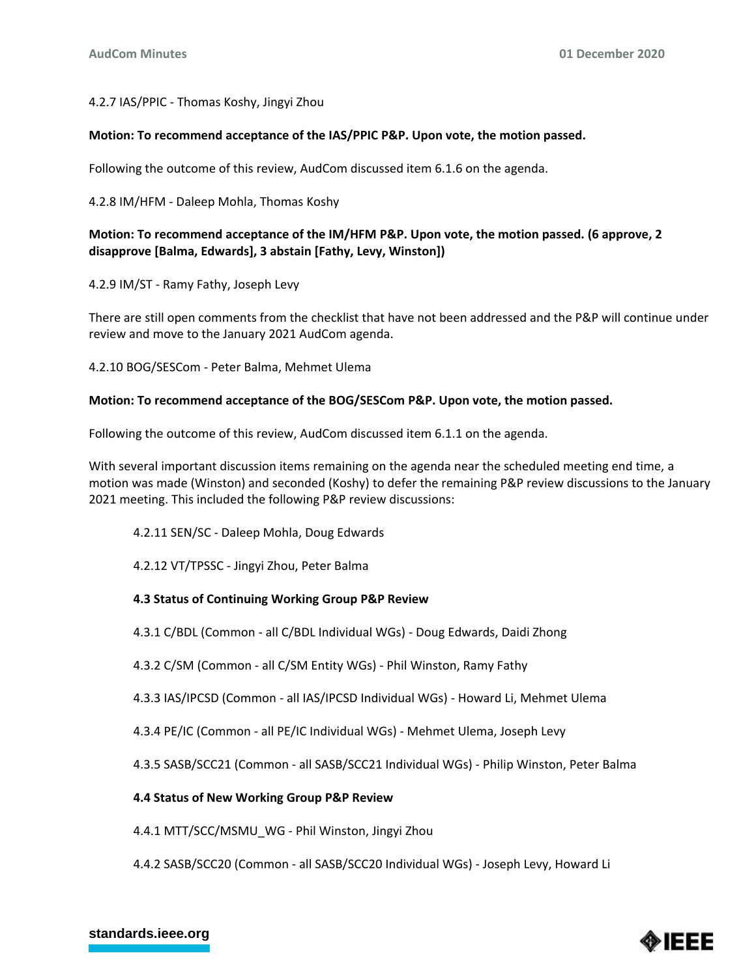# 4.2.7 IAS/PPIC - Thomas Koshy, Jingyi Zhou

## **Motion: To recommend acceptance of the IAS/PPIC P&P. Upon vote, the motion passed.**

Following the outcome of this review, AudCom discussed item 6.1.6 on the agenda.

4.2.8 IM/HFM - Daleep Mohla, Thomas Koshy

# **Motion: To recommend acceptance of the IM/HFM P&P. Upon vote, the motion passed. (6 approve, 2 disapprove [Balma, Edwards], 3 abstain [Fathy, Levy, Winston])**

4.2.9 IM/ST - Ramy Fathy, Joseph Levy

There are still open comments from the checklist that have not been addressed and the P&P will continue under review and move to the January 2021 AudCom agenda.

4.2.10 BOG/SESCom - Peter Balma, Mehmet Ulema

## **Motion: To recommend acceptance of the BOG/SESCom P&P. Upon vote, the motion passed.**

Following the outcome of this review, AudCom discussed item 6.1.1 on the agenda.

With several important discussion items remaining on the agenda near the scheduled meeting end time, a motion was made (Winston) and seconded (Koshy) to defer the remaining P&P review discussions to the January 2021 meeting. This included the following P&P review discussions:

- 4.2.11 SEN/SC Daleep Mohla, Doug Edwards
- 4.2.12 VT/TPSSC Jingyi Zhou, Peter Balma

## **4.3 Status of Continuing Working Group P&P Review**

4.3.1 C/BDL (Common - all C/BDL Individual WGs) - Doug Edwards, Daidi Zhong

4.3.2 C/SM (Common - all C/SM Entity WGs) - Phil Winston, Ramy Fathy

4.3.3 IAS/IPCSD (Common - all IAS/IPCSD Individual WGs) - Howard Li, Mehmet Ulema

4.3.4 PE/IC (Common - all PE/IC Individual WGs) - Mehmet Ulema, Joseph Levy

4.3.5 SASB/SCC21 (Common - all SASB/SCC21 Individual WGs) - Philip Winston, Peter Balma

## **4.4 Status of New Working Group P&P Review**

4.4.1 MTT/SCC/MSMU\_WG - Phil Winston, Jingyi Zhou

4.4.2 SASB/SCC20 (Common - all SASB/SCC20 Individual WGs) - Joseph Levy, Howard Li

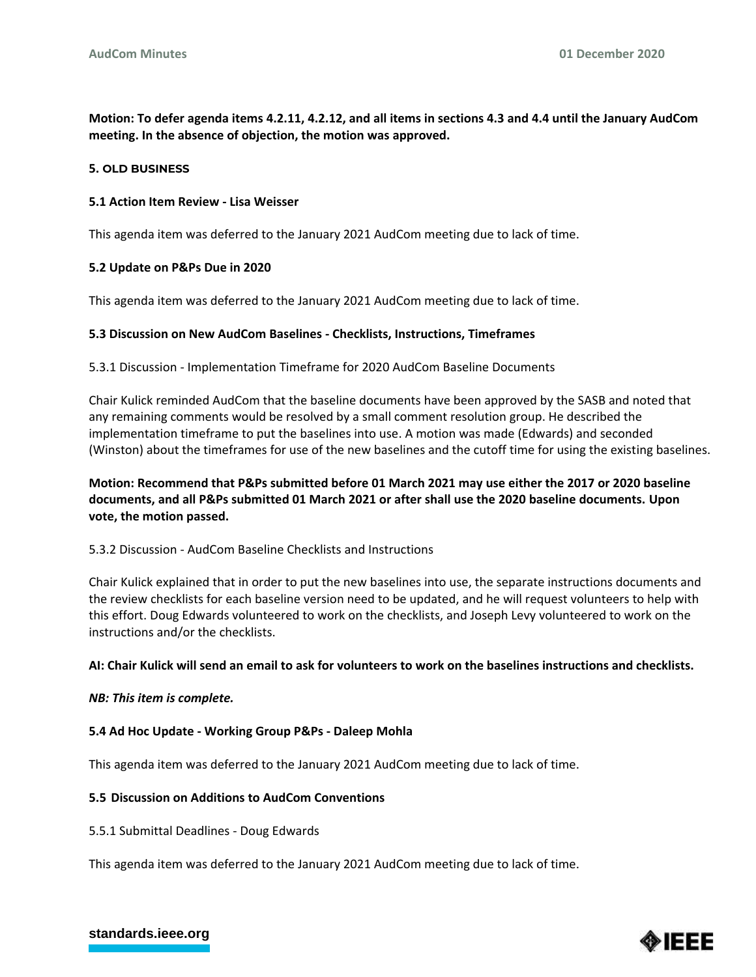**Motion: To defer agenda items 4.2.11, 4.2.12, and all items in sections 4.3 and 4.4 until the January AudCom meeting. In the absence of objection, the motion was approved.**

#### **5. OLD BUSINESS**

#### **5.1 Action Item Review - Lisa Weisser**

This agenda item was deferred to the January 2021 AudCom meeting due to lack of time.

#### **5.2 Update on P&Ps Due in 2020**

This agenda item was deferred to the January 2021 AudCom meeting due to lack of time.

#### **5.3 Discussion on New AudCom Baselines - Checklists, Instructions, Timeframes**

5.3.1 Discussion - Implementation Timeframe for 2020 AudCom Baseline Documents

Chair Kulick reminded AudCom that the baseline documents have been approved by the SASB and noted that any remaining comments would be resolved by a small comment resolution group. He described the implementation timeframe to put the baselines into use. A motion was made (Edwards) and seconded (Winston) about the timeframes for use of the new baselines and the cutoff time for using the existing baselines.

# **Motion: Recommend that P&Ps submitted before 01 March 2021 may use either the 2017 or 2020 baseline documents, and all P&Ps submitted 01 March 2021 or after shall use the 2020 baseline documents. Upon vote, the motion passed.**

# 5.3.2 Discussion - AudCom Baseline Checklists and Instructions

Chair Kulick explained that in order to put the new baselines into use, the separate instructions documents and the review checklists for each baseline version need to be updated, and he will request volunteers to help with this effort. Doug Edwards volunteered to work on the checklists, and Joseph Levy volunteered to work on the instructions and/or the checklists.

#### **AI: Chair Kulick will send an email to ask for volunteers to work on the baselines instructions and checklists.**

#### *NB: This item is complete.*

#### **5.4 Ad Hoc Update - Working Group P&Ps - Daleep Mohla**

This agenda item was deferred to the January 2021 AudCom meeting due to lack of time.

#### **5.5 Discussion on Additions to AudCom Conventions**

5.5.1 Submittal Deadlines - Doug Edwards

This agenda item was deferred to the January 2021 AudCom meeting due to lack of time.



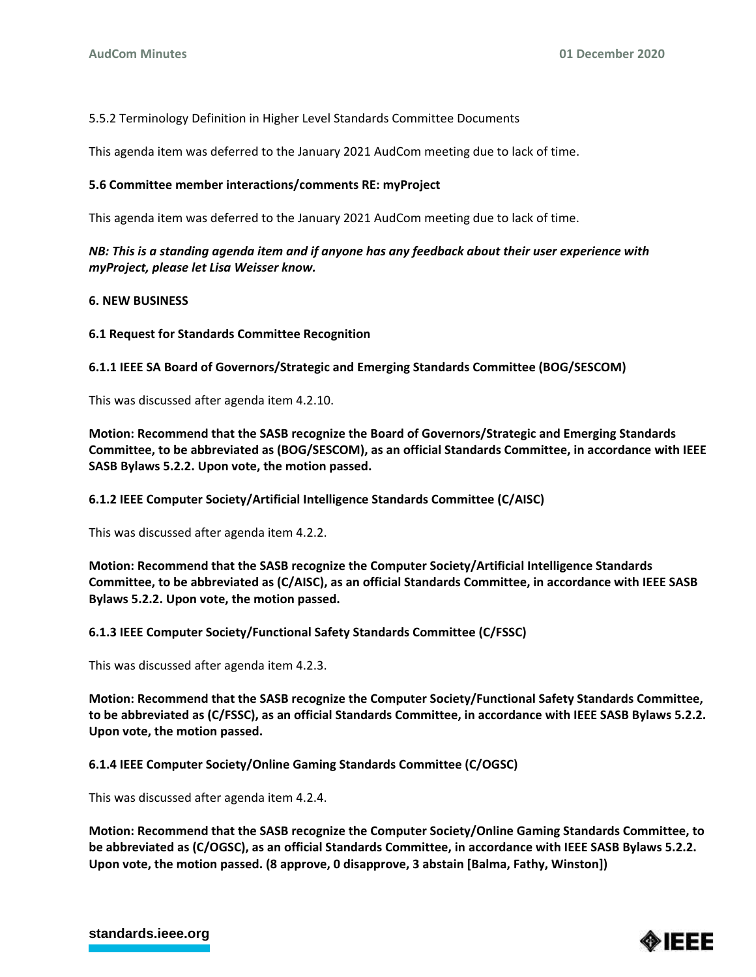5.5.2 Terminology Definition in Higher Level Standards Committee Documents

This agenda item was deferred to the January 2021 AudCom meeting due to lack of time.

# **5.6 Committee member interactions/comments RE: myProject**

This agenda item was deferred to the January 2021 AudCom meeting due to lack of time.

*NB: This is a standing agenda item and if anyone has any feedback about their user experience with myProject, please let Lisa Weisser know.*

## **6. NEW BUSINESS**

# **6.1 Request for Standards Committee Recognition**

**6.1.1 IEEE SA Board of Governors/Strategic and Emerging Standards Committee (BOG/SESCOM)**

This was discussed after agenda item 4.2.10.

**Motion: Recommend that the SASB recognize the Board of Governors/Strategic and Emerging Standards Committee, to be abbreviated as (BOG/SESCOM), as an official Standards Committee, in accordance with IEEE SASB Bylaws 5.2.2. Upon vote, the motion passed.**

**6.1.2 IEEE Computer Society/Artificial Intelligence Standards Committee (C/AISC)**

This was discussed after agenda item 4.2.2.

**Motion: Recommend that the SASB recognize the Computer Society/Artificial Intelligence Standards Committee, to be abbreviated as (C/AISC), as an official Standards Committee, in accordance with IEEE SASB Bylaws 5.2.2. Upon vote, the motion passed.**

## **6.1.3 IEEE Computer Society/Functional Safety Standards Committee (C/FSSC)**

This was discussed after agenda item 4.2.3.

**Motion: Recommend that the SASB recognize the Computer Society/Functional Safety Standards Committee, to be abbreviated as (C/FSSC), as an official Standards Committee, in accordance with IEEE SASB Bylaws 5.2.2. Upon vote, the motion passed.**

**6.1.4 IEEE Computer Society/Online Gaming Standards Committee (C/OGSC)**

This was discussed after agenda item 4.2.4.

**Motion: Recommend that the SASB recognize the Computer Society/Online Gaming Standards Committee, to be abbreviated as (C/OGSC), as an official Standards Committee, in accordance with IEEE SASB Bylaws 5.2.2. Upon vote, the motion passed. (8 approve, 0 disapprove, 3 abstain [Balma, Fathy, Winston])**